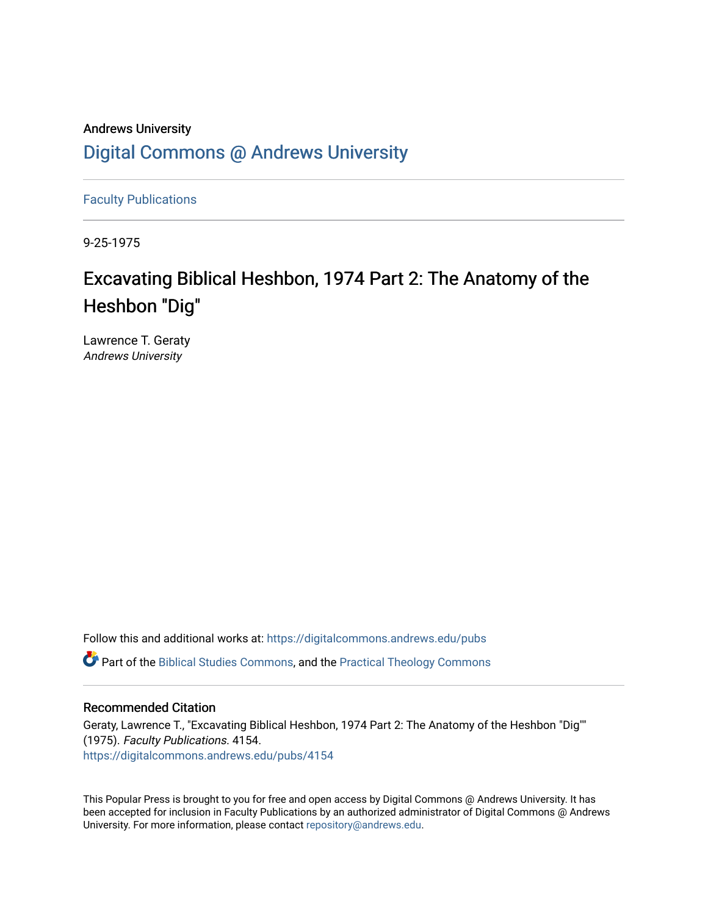### Andrews University [Digital Commons @ Andrews University](https://digitalcommons.andrews.edu/)

[Faculty Publications](https://digitalcommons.andrews.edu/pubs)

9-25-1975

## Excavating Biblical Heshbon, 1974 Part 2: The Anatomy of the Heshbon "Dig"

Lawrence T. Geraty Andrews University

Follow this and additional works at: [https://digitalcommons.andrews.edu/pubs](https://digitalcommons.andrews.edu/pubs?utm_source=digitalcommons.andrews.edu%2Fpubs%2F4154&utm_medium=PDF&utm_campaign=PDFCoverPages) 

Part of the [Biblical Studies Commons,](http://network.bepress.com/hgg/discipline/539?utm_source=digitalcommons.andrews.edu%2Fpubs%2F4154&utm_medium=PDF&utm_campaign=PDFCoverPages) and the [Practical Theology Commons](http://network.bepress.com/hgg/discipline/1186?utm_source=digitalcommons.andrews.edu%2Fpubs%2F4154&utm_medium=PDF&utm_campaign=PDFCoverPages) 

#### Recommended Citation

Geraty, Lawrence T., "Excavating Biblical Heshbon, 1974 Part 2: The Anatomy of the Heshbon "Dig"" (1975). Faculty Publications. 4154. [https://digitalcommons.andrews.edu/pubs/4154](https://digitalcommons.andrews.edu/pubs/4154?utm_source=digitalcommons.andrews.edu%2Fpubs%2F4154&utm_medium=PDF&utm_campaign=PDFCoverPages) 

This Popular Press is brought to you for free and open access by Digital Commons @ Andrews University. It has been accepted for inclusion in Faculty Publications by an authorized administrator of Digital Commons @ Andrews University. For more information, please contact [repository@andrews.edu](mailto:repository@andrews.edu).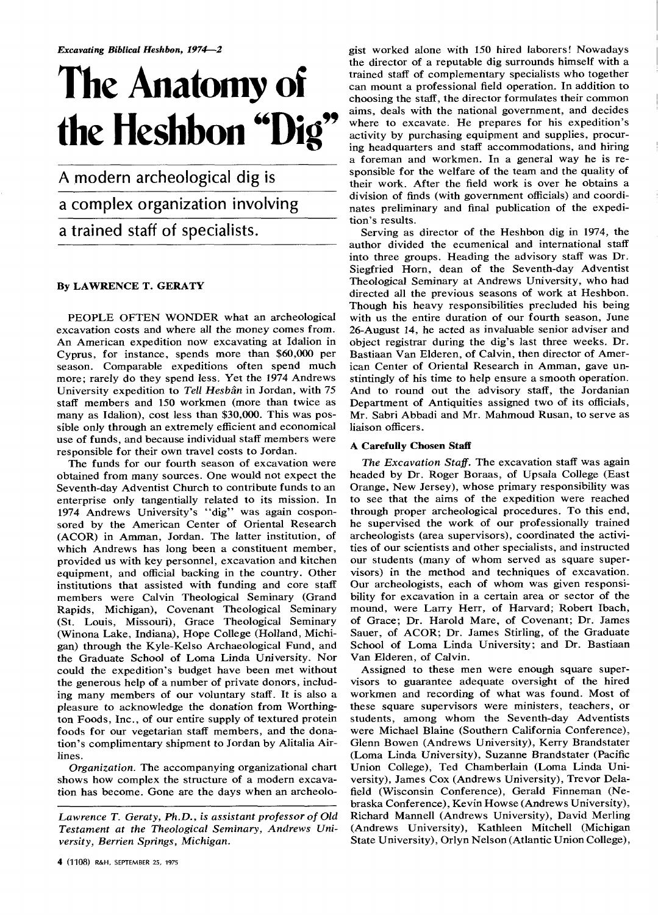# **The Anatomy of the Heshbon "Dig"**

A modern archeological dig is a complex organization involving a trained staff of specialists.

#### **By LAWRENCE T. GERATY**

PEOPLE OFTEN WONDER what an archeological excavation costs and where all the money comes from. An American expedition now excavating at Idalion in Cyprus, for instance, spends more than \$60,000 per season. Comparable expeditions often spend much more; rarely do they spend less. Yet the 1974 Andrews University expedition to *Tell Hesban* in Jordan, with 75 staff members and 150 workmen (more than twice as many as Idalion), cost less than \$30,000. This was possible only through an extremely efficient and economical use of funds, and because individual staff members were responsible for their own travel costs to Jordan.

The funds for our fourth season of excavation were obtained from many sources. One would not expect the Seventh-day Adventist Church to contribute funds to an enterprise only tangentially related to its mission. In 1974 Andrews University's "dig" was again cosponsored by the American Center of Oriental Research (ACOR) in Amman, Jordan. The latter institution, of which Andrews has long been a constituent member, provided us with key personnel, excavation and kitchen equipment, and official backing in the country. Other institutions that assisted with funding and core staff members were Calvin Theological Seminary (Grand Rapids, Michigan), Covenant Theological Seminary (St. Louis, Missouri), Grace Theological Seminary (Winona Lake, Indiana), Hope College (Holland, Michigan) through the Kyle-Kelso Archaeological Fund, and the Graduate School of Loma Linda University. Nor could the expedition's budget have been met without the generous help of a number of private donors, including many members of our voluntary staff. It is also a pleasure to acknowledge the donation from Worthington Foods, Inc., of our entire supply of textured protein foods for our vegetarian staff members, and the donation's complimentary shipment to Jordan by Alitalia Airlines.

*Organization.* The accompanying organizational chart shows how complex the structure of a modern excavation has become. Gone are the days when an archeologist worked alone with 150 hired laborers! Nowadays the director of a reputable dig surrounds himself with a trained staff of complementary specialists who together can mount a professional field operation. In addition to choosing the staff, the director formulates their common aims, deals with the national government, and decides where to excavate. He prepares for his expedition's activity by purchasing equipment and supplies, procuring headquarters and staff accommodations, and hiring a foreman and workmen. In a general way he is responsible for the welfare of the team and the quality of their work. After the field work is over he obtains a division of finds (with government officials) and coordinates preliminary and final publication of the expedition's results.

Serving as director of the Heshbon dig in 1974, the author divided the ecumenical and international staff into three groups. Heading the advisory staff was Dr. Siegfried Horn, dean of the Seventh-day Adventist Theological Seminary at Andrews University, who had directed all the previous seasons of work at Heshbon. Though his heavy responsibilities precluded his being with us the entire duration of our fourth season, June 26-August 14, he acted as invaluable senior adviser and object registrar during the dig's last three weeks. Dr. Bastiaan Van Elderen, of Calvin, then director of American Center of Oriental Research in Amman, gave unstintingly of his time to help ensure a smooth operation. And to round out the advisory staff, the Jordanian Department of Antiquities assigned two of its officials, Mr. Sabri Abbadi and Mr. Mahmoud Rusan, to serve as liaison officers.

#### **A Carefully Chosen Staff**

*The Excavation Staff.* The excavation staff was again headed by Dr. Roger Boraas, of Upsala College (East Orange, New Jersey), whose primary responsibility was to see that the aims of the expedition were reached through proper archeological procedures. To this end, he supervised the work of our professionally trained archeologists (area supervisors), coordinated the activities of our scientists and other specialists, and instructed our students (many of whom served as square supervisors) in the method and techniques of excavation. Our archeologists, each of whom was given responsibility for excavation in a certain area or sector of the mound, were Larry Herr, of Harvard; Robert Ibach, of Grace; Dr. Harold Mare, of Covenant; Dr. James Sauer, of ACOR; Dr. James Stirling, of the Graduate School of Loma Linda University; and Dr. Bastiaan Van Elderen, of Calvin.

Assigned to these men were enough square supervisors to guarantee adequate oversight of the hired workmen and recording of what was found. Most of these square supervisors were ministers, teachers, or students, among whom the Seventh-day Adventists were Michael Blaine (Southern California Conference), Glenn Bowen (Andrews University), Kerry Brandstater (Loma Linda University), Suzanne Brandstater (Pacific Union College), Ted Chamberlain (Loma Linda University), James Cox (Andrews University), Trevor Delafield (Wisconsin Conference), Gerald Finneman (Nebraska Conference), Kevin Howse (Andrews University), Richard Mannell (Andrews University), David Merling (Andrews University), Kathleen Mitchell (Michigan State University), Orlyn Nelson (Atlantic Union College),

*Lawrence T. Geraty, Ph.D., is assistant professor of Old Testament at the Theological Seminary, Andrews University, Berrien Springs, Michigan.*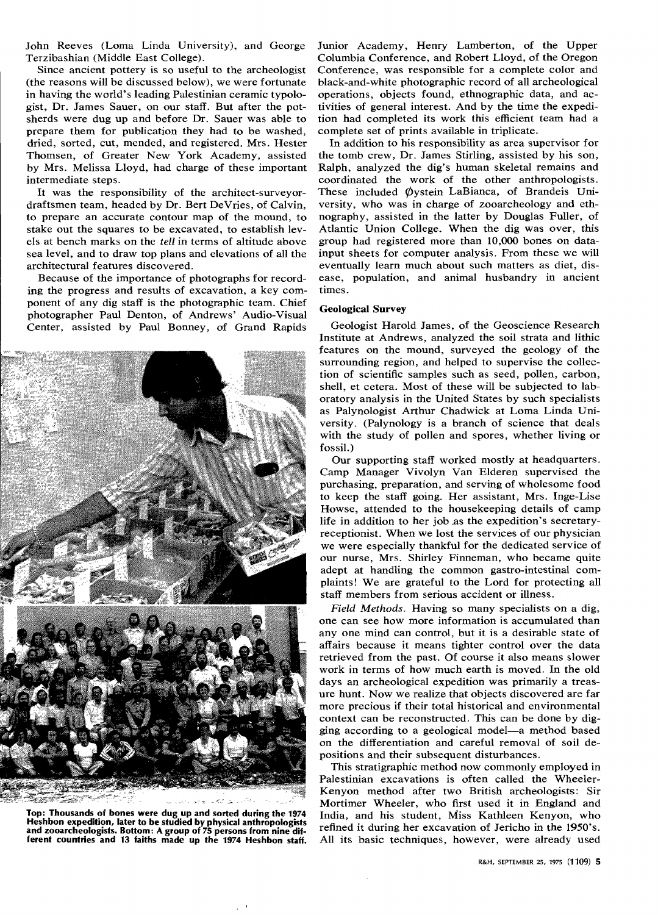John Reeves (Loma Linda University), and George Terzibashian (Middle East College).

Since ancient pottery is so useful to the archeologist (the reasons will be discussed below), we were fortunate in having the world's leading Palestinian ceramic typologist, Dr. James Sauer, on our staff. But after the potsherds were dug up and before Dr. Sauer was able to prepare them for publication they had to be washed, dried, sorted, cut, mended, and registered. Mrs. Hester Thomsen, of Greater New York Academy, assisted by Mrs. Melissa Lloyd, had charge of these important intermediate steps.

It was the responsibility of the architect-surveyordraftsmen team, headed by Dr. Bert DeVries, of Calvin, to prepare an accurate contour map of the mound, to stake out the squares to be excavated, to establish levels at bench marks on the *tell* in terms of altitude above sea level, and to draw top plans and elevations of all the architectural features discovered.

Because of the importance of photographs for recording the progress and results of excavation, a key component of any dig staff is the photographic team. Chief photographer Paul Denton, of Andrews' Audio-Visual Center, assisted by Paul Bonney, of Grand Rapids



**Top: Thousands of bones were dug up and sorted during the 1974 Heshbon expedition, later to be studied by physical anthropologists and zooarcheologists. Bottom: A group of 75 persons from nine different countries and 13 faiths made up the 1974 Heshbon staff.** 

Junior Academy, Henry Lamberton, of the Upper Columbia Conference, and Robert Lloyd, of the Oregon Conference, was responsible for a complete color and black-and-white photographic record of all archeological operations, objects found, ethnographic data, and activities of general interest. And by the time the expedition had completed its work this efficient team had a complete set of prints available in triplicate.

In addition to his responsibility as area supervisor for the tomb crew, Dr. James Stirling, assisted by his son, Ralph, analyzed the dig's human skeletal remains and coordinated the work of the other anthropologists. These included Øystein LaBianca, of Brandeis University, who was in charge of zooarcheology and ethnography, assisted in the latter by Douglas Fuller, of Atlantic Union College. When the dig was over, this group had registered more than 10,000 bones on datainput sheets for computer analysis. From these we will eventually learn much about such matters as diet, disease, population, and animal husbandry in ancient times.

#### **Geological Survey**

Geologist Harold James, of the Geoscience Research Institute at Andrews, analyzed the soil strata and lithic features on the mound, surveyed the geology of the surrounding region, and helped to supervise the collection of scientific samples such as seed, pollen, carbon, shell, et cetera. Most of these will be subjected to laboratory analysis in the United States by such specialists as Palynologist Arthur Chadwick at Loma Linda University. (Palynology is a branch of science that deals with the study of pollen and spores, whether living or fossil.)

Our supporting staff worked mostly at headquarters. Camp Manager Vivolyn Van Elderen supervised the purchasing, preparation, and serving of wholesome food to keep the staff going. Her assistant, Mrs. Inge-Lise Howse, attended to the housekeeping details of camp life in addition to her job .as the expedition's secretaryreceptionist. When we lost the services of our physician we were especially thankful for the dedicated service of our nurse, Mrs. Shirley Finneman, who became quite adept at handling the common gastro-intestinal complaints! We are grateful to the Lord for protecting all staff members from serious accident or illness.

*Field Methods.* Having so many specialists on a dig, one can see how more information is accumulated than any one mind can control, but it is a desirable state of affairs because it means tighter control over the data retrieved from the past. Of course it also means slower work in terms of how much earth is moved. In the old days an archeological expedition was primarily a treasure hunt. Now we realize that objects discovered are far more precious if their total historical and environmental context can be reconstructed. This can be done by digging according to a geological model—a method based on the differentiation and careful removal of soil depositions and their subsequent disturbances.

This stratigraphic method now commonly employed in Palestinian excavations is often called the Wheeler-Kenyon method after two British archeologists: Sir Mortimer Wheeler, who first used it in England and India, and his student, Miss Kathleen Kenyon, who refined it during her excavation of Jericho in the 1950's. All its basic techniques, however, were already used